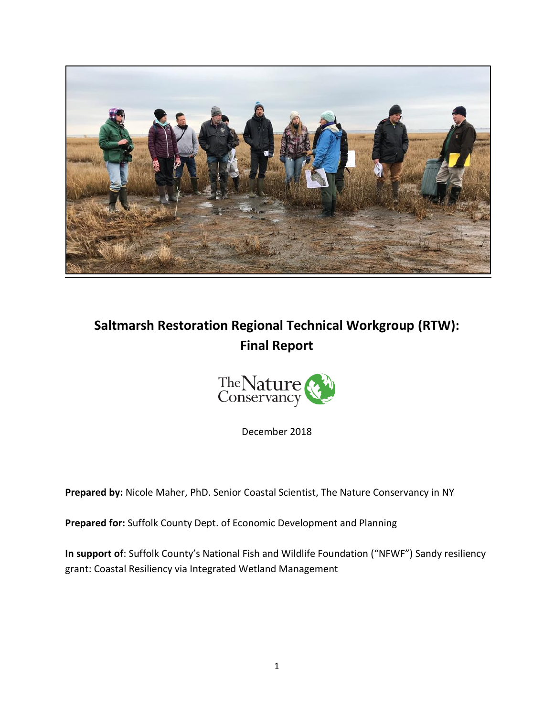

# **Saltmarsh Restoration Regional Technical Workgroup (RTW): Final Report**



December 2018

**Prepared by:** Nicole Maher, PhD. Senior Coastal Scientist, The Nature Conservancy in NY

**Prepared for:** Suffolk County Dept. of Economic Development and Planning

**In support of**: Suffolk County's National Fish and Wildlife Foundation ("NFWF") Sandy resiliency grant: Coastal Resiliency via Integrated Wetland Management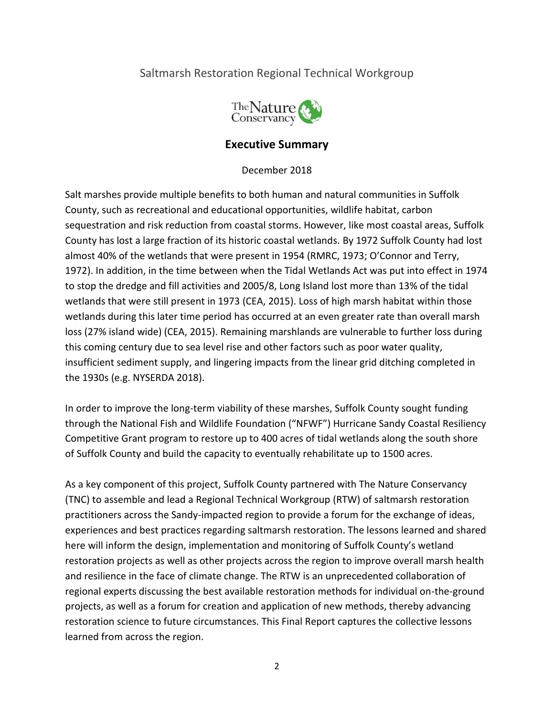# Saltmarsh Restoration Regional Technical Workgroup



# **Executive Summary**

December 2018

Salt marshes provide multiple benefits to both human and natural communities in Suffolk County, such as recreational and educational opportunities, wildlife habitat, carbon sequestration and risk reduction from coastal storms. However, like most coastal areas, Suffolk County has lost a large fraction of its historic coastal wetlands. By 1972 Suffolk County had lost almost 40% of the wetlands that were present in 1954 (RMRC, 1973; O'Connor and Terry, 1972). In addition, in the time between when the Tidal Wetlands Act was put into effect in 1974 to stop the dredge and fill activities and 2005/8, Long Island lost more than 13% of the tidal wetlands that were still present in 1973 (CEA, 2015). Loss of high marsh habitat within those wetlands during this later time period has occurred at an even greater rate than overall marsh loss (27% island wide) (CEA, 2015). Remaining marshlands are vulnerable to further loss during this coming century due to sea level rise and other factors such as poor water quality, insufficient sediment supply, and lingering impacts from the linear grid ditching completed in the 1930s (e.g. NYSERDA 2018).

In order to improve the long-term viability of these marshes, Suffolk County sought funding through the National Fish and Wildlife Foundation ("NFWF") Hurricane Sandy Coastal Resiliency Competitive Grant program to restore up to 400 acres of tidal wetlands along the south shore of Suffolk County and build the capacity to eventually rehabilitate up to 1500 acres.

As a key component of this project, Suffolk County partnered with The Nature Conservancy (TNC) to assemble and lead a Regional Technical Workgroup (RTW) of saltmarsh restoration practitioners across the Sandy-impacted region to provide a forum for the exchange of ideas, experiences and best practices regarding saltmarsh restoration. The lessons learned and shared here will inform the design, implementation and monitoring of Suffolk County's wetland restoration projects as well as other projects across the region to improve overall marsh health and resilience in the face of climate change. The RTW is an unprecedented collaboration of regional experts discussing the best available restoration methods for individual on-the-ground projects, as well as a forum for creation and application of new methods, thereby advancing restoration science to future circumstances. This Final Report captures the collective lessons learned from across the region.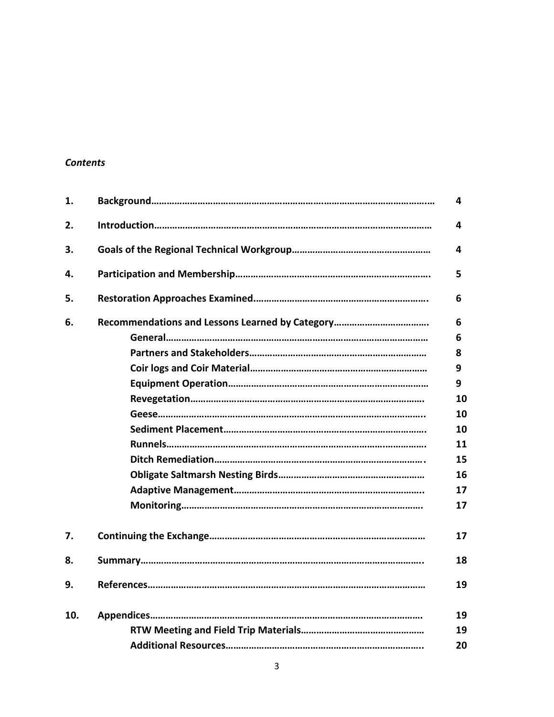# *Contents*

| 1.  | 4  |
|-----|----|
| 2.  | 4  |
| 3.  | 4  |
| 4.  | 5. |
| 5.  | 6  |
| 6.  | 6  |
|     | 6  |
|     | 8  |
|     | 9  |
|     | 9  |
|     | 10 |
|     | 10 |
|     | 10 |
|     | 11 |
|     | 15 |
|     | 16 |
|     | 17 |
|     | 17 |
| 7.  | 17 |
| 8.  | 18 |
| 9.  | 19 |
| 10. | 19 |
|     | 19 |
|     | 20 |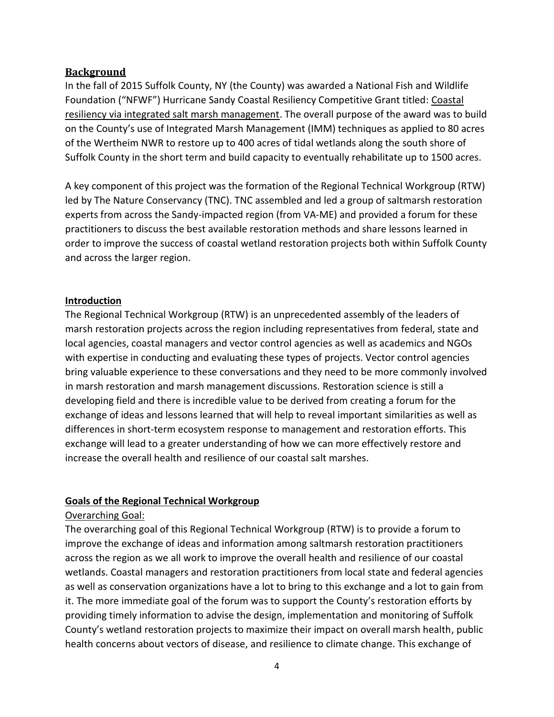## **Background**

In the fall of 2015 Suffolk County, NY (the County) was awarded a National Fish and Wildlife Foundation ("NFWF") Hurricane Sandy Coastal Resiliency Competitive Grant titled: Coastal resiliency via integrated salt marsh management. The overall purpose of the award was to build on the County's use of Integrated Marsh Management (IMM) techniques as applied to 80 acres of the Wertheim NWR to restore up to 400 acres of tidal wetlands along the south shore of Suffolk County in the short term and build capacity to eventually rehabilitate up to 1500 acres.

A key component of this project was the formation of the Regional Technical Workgroup (RTW) led by The Nature Conservancy (TNC). TNC assembled and led a group of saltmarsh restoration experts from across the Sandy-impacted region (from VA-ME) and provided a forum for these practitioners to discuss the best available restoration methods and share lessons learned in order to improve the success of coastal wetland restoration projects both within Suffolk County and across the larger region.

#### **Introduction**

The Regional Technical Workgroup (RTW) is an unprecedented assembly of the leaders of marsh restoration projects across the region including representatives from federal, state and local agencies, coastal managers and vector control agencies as well as academics and NGOs with expertise in conducting and evaluating these types of projects. Vector control agencies bring valuable experience to these conversations and they need to be more commonly involved in marsh restoration and marsh management discussions. Restoration science is still a developing field and there is incredible value to be derived from creating a forum for the exchange of ideas and lessons learned that will help to reveal important similarities as well as differences in short-term ecosystem response to management and restoration efforts. This exchange will lead to a greater understanding of how we can more effectively restore and increase the overall health and resilience of our coastal salt marshes.

#### **Goals of the Regional Technical Workgroup**

# Overarching Goal:

The overarching goal of this Regional Technical Workgroup (RTW) is to provide a forum to improve the exchange of ideas and information among saltmarsh restoration practitioners across the region as we all work to improve the overall health and resilience of our coastal wetlands. Coastal managers and restoration practitioners from local state and federal agencies as well as conservation organizations have a lot to bring to this exchange and a lot to gain from it. The more immediate goal of the forum was to support the County's restoration efforts by providing timely information to advise the design, implementation and monitoring of Suffolk County's wetland restoration projects to maximize their impact on overall marsh health, public health concerns about vectors of disease, and resilience to climate change. This exchange of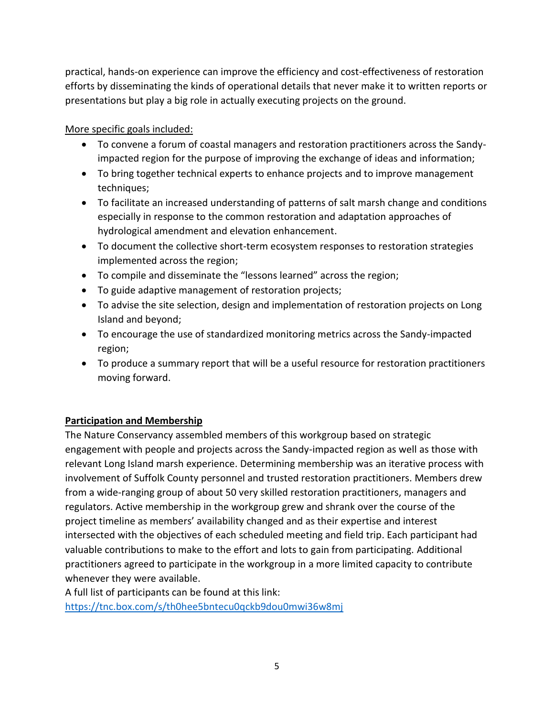practical, hands-on experience can improve the efficiency and cost-effectiveness of restoration efforts by disseminating the kinds of operational details that never make it to written reports or presentations but play a big role in actually executing projects on the ground.

More specific goals included:

- To convene a forum of coastal managers and restoration practitioners across the Sandyimpacted region for the purpose of improving the exchange of ideas and information;
- To bring together technical experts to enhance projects and to improve management techniques;
- To facilitate an increased understanding of patterns of salt marsh change and conditions especially in response to the common restoration and adaptation approaches of hydrological amendment and elevation enhancement.
- To document the collective short-term ecosystem responses to restoration strategies implemented across the region;
- To compile and disseminate the "lessons learned" across the region;
- To guide adaptive management of restoration projects;
- To advise the site selection, design and implementation of restoration projects on Long Island and beyond;
- To encourage the use of standardized monitoring metrics across the Sandy-impacted region;
- To produce a summary report that will be a useful resource for restoration practitioners moving forward.

# **Participation and Membership**

The Nature Conservancy assembled members of this workgroup based on strategic engagement with people and projects across the Sandy-impacted region as well as those with relevant Long Island marsh experience. Determining membership was an iterative process with involvement of Suffolk County personnel and trusted restoration practitioners. Members drew from a wide-ranging group of about 50 very skilled restoration practitioners, managers and regulators. Active membership in the workgroup grew and shrank over the course of the project timeline as members' availability changed and as their expertise and interest intersected with the objectives of each scheduled meeting and field trip. Each participant had valuable contributions to make to the effort and lots to gain from participating. Additional practitioners agreed to participate in the workgroup in a more limited capacity to contribute whenever they were available.

A full list of participants can be found at this link: <https://tnc.box.com/s/th0hee5bntecu0qckb9dou0mwi36w8mj>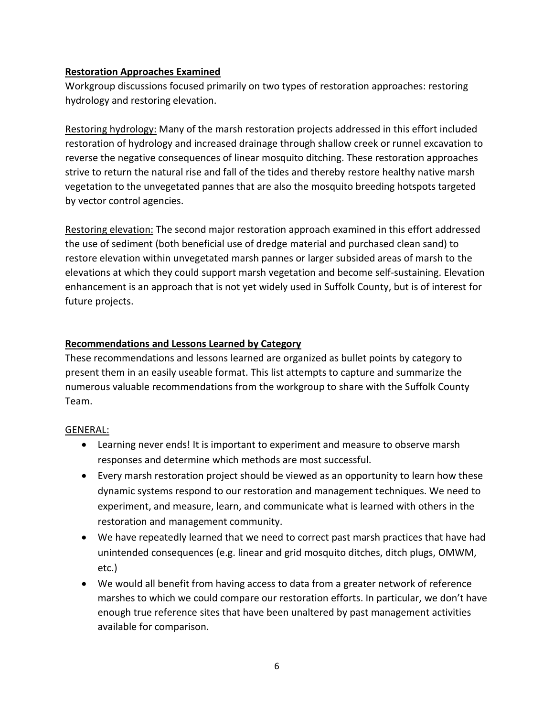### **Restoration Approaches Examined**

Workgroup discussions focused primarily on two types of restoration approaches: restoring hydrology and restoring elevation.

Restoring hydrology: Many of the marsh restoration projects addressed in this effort included restoration of hydrology and increased drainage through shallow creek or runnel excavation to reverse the negative consequences of linear mosquito ditching. These restoration approaches strive to return the natural rise and fall of the tides and thereby restore healthy native marsh vegetation to the unvegetated pannes that are also the mosquito breeding hotspots targeted by vector control agencies.

Restoring elevation: The second major restoration approach examined in this effort addressed the use of sediment (both beneficial use of dredge material and purchased clean sand) to restore elevation within unvegetated marsh pannes or larger subsided areas of marsh to the elevations at which they could support marsh vegetation and become self-sustaining. Elevation enhancement is an approach that is not yet widely used in Suffolk County, but is of interest for future projects.

#### **Recommendations and Lessons Learned by Category**

These recommendations and lessons learned are organized as bullet points by category to present them in an easily useable format. This list attempts to capture and summarize the numerous valuable recommendations from the workgroup to share with the Suffolk County Team.

#### GENERAL:

- Learning never ends! It is important to experiment and measure to observe marsh responses and determine which methods are most successful.
- Every marsh restoration project should be viewed as an opportunity to learn how these dynamic systems respond to our restoration and management techniques. We need to experiment, and measure, learn, and communicate what is learned with others in the restoration and management community.
- We have repeatedly learned that we need to correct past marsh practices that have had unintended consequences (e.g. linear and grid mosquito ditches, ditch plugs, OMWM, etc.)
- We would all benefit from having access to data from a greater network of reference marshes to which we could compare our restoration efforts. In particular, we don't have enough true reference sites that have been unaltered by past management activities available for comparison.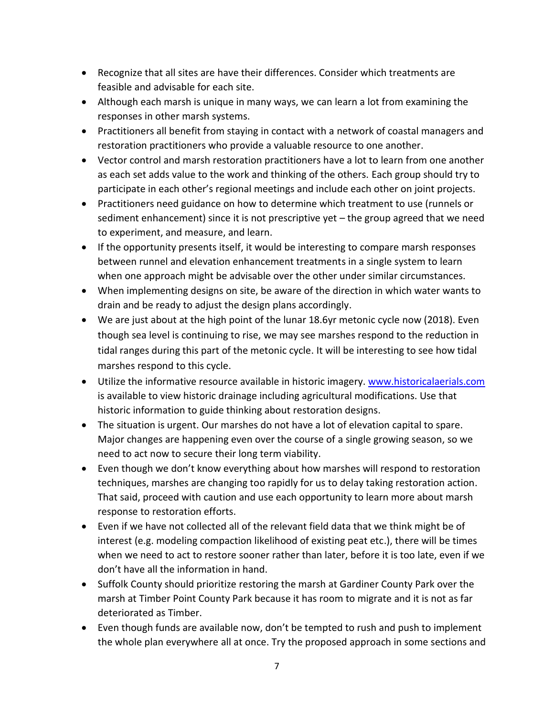- Recognize that all sites are have their differences. Consider which treatments are feasible and advisable for each site.
- Although each marsh is unique in many ways, we can learn a lot from examining the responses in other marsh systems.
- Practitioners all benefit from staying in contact with a network of coastal managers and restoration practitioners who provide a valuable resource to one another.
- Vector control and marsh restoration practitioners have a lot to learn from one another as each set adds value to the work and thinking of the others. Each group should try to participate in each other's regional meetings and include each other on joint projects.
- Practitioners need guidance on how to determine which treatment to use (runnels or sediment enhancement) since it is not prescriptive yet – the group agreed that we need to experiment, and measure, and learn.
- If the opportunity presents itself, it would be interesting to compare marsh responses between runnel and elevation enhancement treatments in a single system to learn when one approach might be advisable over the other under similar circumstances.
- When implementing designs on site, be aware of the direction in which water wants to drain and be ready to adjust the design plans accordingly.
- We are just about at the high point of the lunar 18.6yr metonic cycle now (2018). Even though sea level is continuing to rise, we may see marshes respond to the reduction in tidal ranges during this part of the metonic cycle. It will be interesting to see how tidal marshes respond to this cycle.
- Utilize the informative resource available in historic imagery. [www.historicalaerials.com](http://www.historicalaerials.com/) is available to view historic drainage including agricultural modifications. Use that historic information to guide thinking about restoration designs.
- The situation is urgent. Our marshes do not have a lot of elevation capital to spare. Major changes are happening even over the course of a single growing season, so we need to act now to secure their long term viability.
- Even though we don't know everything about how marshes will respond to restoration techniques, marshes are changing too rapidly for us to delay taking restoration action. That said, proceed with caution and use each opportunity to learn more about marsh response to restoration efforts.
- Even if we have not collected all of the relevant field data that we think might be of interest (e.g. modeling compaction likelihood of existing peat etc.), there will be times when we need to act to restore sooner rather than later, before it is too late, even if we don't have all the information in hand.
- Suffolk County should prioritize restoring the marsh at Gardiner County Park over the marsh at Timber Point County Park because it has room to migrate and it is not as far deteriorated as Timber.
- Even though funds are available now, don't be tempted to rush and push to implement the whole plan everywhere all at once. Try the proposed approach in some sections and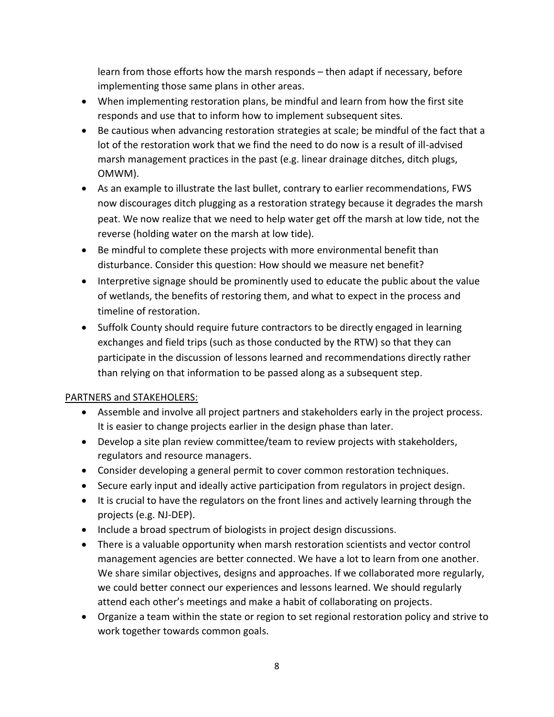learn from those efforts how the marsh responds – then adapt if necessary, before implementing those same plans in other areas.

- When implementing restoration plans, be mindful and learn from how the first site responds and use that to inform how to implement subsequent sites.
- Be cautious when advancing restoration strategies at scale; be mindful of the fact that a lot of the restoration work that we find the need to do now is a result of ill-advised marsh management practices in the past (e.g. linear drainage ditches, ditch plugs, OMWM).
- As an example to illustrate the last bullet, contrary to earlier recommendations, FWS now discourages ditch plugging as a restoration strategy because it degrades the marsh peat. We now realize that we need to help water get off the marsh at low tide, not the reverse (holding water on the marsh at low tide).
- Be mindful to complete these projects with more environmental benefit than disturbance. Consider this question: How should we measure net benefit?
- Interpretive signage should be prominently used to educate the public about the value of wetlands, the benefits of restoring them, and what to expect in the process and timeline of restoration.
- Suffolk County should require future contractors to be directly engaged in learning exchanges and field trips (such as those conducted by the RTW) so that they can participate in the discussion of lessons learned and recommendations directly rather than relying on that information to be passed along as a subsequent step.

# PARTNERS and STAKEHOLERS:

- Assemble and involve all project partners and stakeholders early in the project process. It is easier to change projects earlier in the design phase than later.
- Develop a site plan review committee/team to review projects with stakeholders, regulators and resource managers.
- Consider developing a general permit to cover common restoration techniques.
- Secure early input and ideally active participation from regulators in project design.
- It is crucial to have the regulators on the front lines and actively learning through the projects (e.g. NJ-DEP).
- Include a broad spectrum of biologists in project design discussions.
- There is a valuable opportunity when marsh restoration scientists and vector control management agencies are better connected. We have a lot to learn from one another. We share similar objectives, designs and approaches. If we collaborated more regularly, we could better connect our experiences and lessons learned. We should regularly attend each other's meetings and make a habit of collaborating on projects.
- Organize a team within the state or region to set regional restoration policy and strive to work together towards common goals.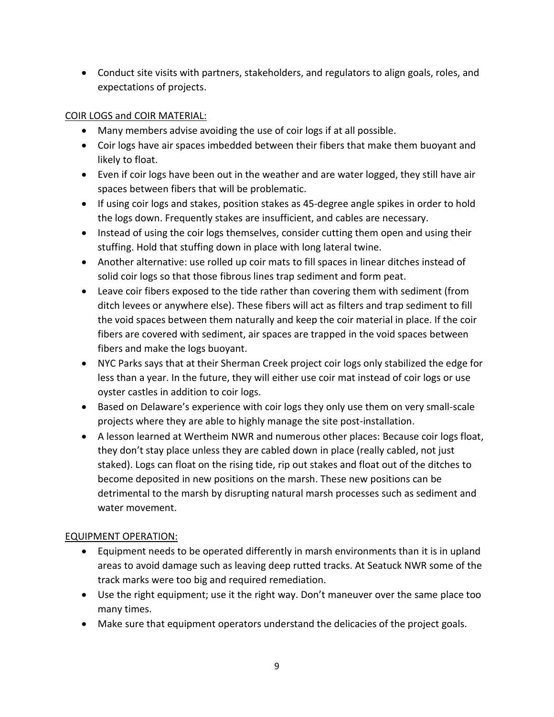• Conduct site visits with partners, stakeholders, and regulators to align goals, roles, and expectations of projects.

# COIR LOGS and COIR MATERIAL:

- Many members advise avoiding the use of coir logs if at all possible.
- Coir logs have air spaces imbedded between their fibers that make them buoyant and likely to float.
- Even if coir logs have been out in the weather and are water logged, they still have air spaces between fibers that will be problematic.
- If using coir logs and stakes, position stakes as 45-degree angle spikes in order to hold the logs down. Frequently stakes are insufficient, and cables are necessary.
- Instead of using the coir logs themselves, consider cutting them open and using their stuffing. Hold that stuffing down in place with long lateral twine.
- Another alternative: use rolled up coir mats to fill spaces in linear ditches instead of solid coir logs so that those fibrous lines trap sediment and form peat.
- Leave coir fibers exposed to the tide rather than covering them with sediment (from ditch levees or anywhere else). These fibers will act as filters and trap sediment to fill the void spaces between them naturally and keep the coir material in place. If the coir fibers are covered with sediment, air spaces are trapped in the void spaces between fibers and make the logs buoyant.
- NYC Parks says that at their Sherman Creek project coir logs only stabilized the edge for less than a year. In the future, they will either use coir mat instead of coir logs or use oyster castles in addition to coir logs.
- Based on Delaware's experience with coir logs they only use them on very small-scale projects where they are able to highly manage the site post-installation.
- A lesson learned at Wertheim NWR and numerous other places: Because coir logs float, they don't stay place unless they are cabled down in place (really cabled, not just staked). Logs can float on the rising tide, rip out stakes and float out of the ditches to become deposited in new positions on the marsh. These new positions can be detrimental to the marsh by disrupting natural marsh processes such as sediment and water movement.

# EQUIPMENT OPERATION:

- Equipment needs to be operated differently in marsh environments than it is in upland areas to avoid damage such as leaving deep rutted tracks. At Seatuck NWR some of the track marks were too big and required remediation.
- Use the right equipment; use it the right way. Don't maneuver over the same place too many times.
- Make sure that equipment operators understand the delicacies of the project goals.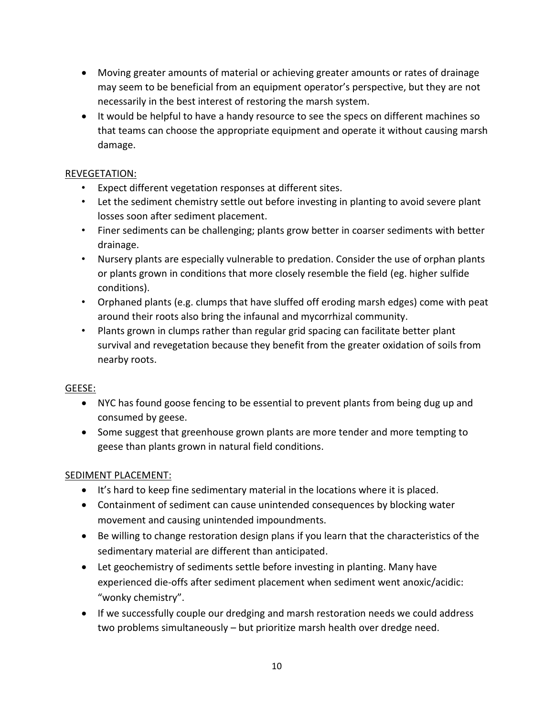- Moving greater amounts of material or achieving greater amounts or rates of drainage may seem to be beneficial from an equipment operator's perspective, but they are not necessarily in the best interest of restoring the marsh system.
- It would be helpful to have a handy resource to see the specs on different machines so that teams can choose the appropriate equipment and operate it without causing marsh damage.

# REVEGETATION:

- Expect different vegetation responses at different sites.
- Let the sediment chemistry settle out before investing in planting to avoid severe plant losses soon after sediment placement.
- Finer sediments can be challenging; plants grow better in coarser sediments with better drainage.
- Nursery plants are especially vulnerable to predation. Consider the use of orphan plants or plants grown in conditions that more closely resemble the field (eg. higher sulfide conditions).
- Orphaned plants (e.g. clumps that have sluffed off eroding marsh edges) come with peat around their roots also bring the infaunal and mycorrhizal community.
- Plants grown in clumps rather than regular grid spacing can facilitate better plant survival and revegetation because they benefit from the greater oxidation of soils from nearby roots.

# GEESE:

- NYC has found goose fencing to be essential to prevent plants from being dug up and consumed by geese.
- Some suggest that greenhouse grown plants are more tender and more tempting to geese than plants grown in natural field conditions.

# SEDIMENT PLACEMENT:

- It's hard to keep fine sedimentary material in the locations where it is placed.
- Containment of sediment can cause unintended consequences by blocking water movement and causing unintended impoundments.
- Be willing to change restoration design plans if you learn that the characteristics of the sedimentary material are different than anticipated.
- Let geochemistry of sediments settle before investing in planting. Many have experienced die-offs after sediment placement when sediment went anoxic/acidic: "wonky chemistry".
- If we successfully couple our dredging and marsh restoration needs we could address two problems simultaneously – but prioritize marsh health over dredge need.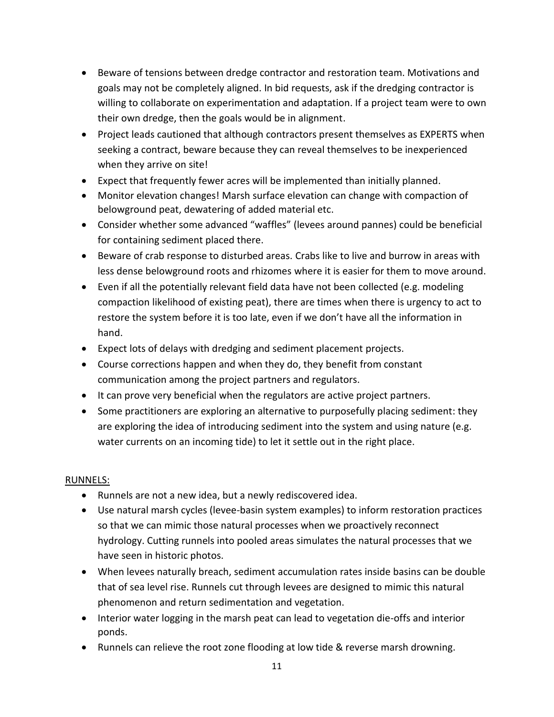- Beware of tensions between dredge contractor and restoration team. Motivations and goals may not be completely aligned. In bid requests, ask if the dredging contractor is willing to collaborate on experimentation and adaptation. If a project team were to own their own dredge, then the goals would be in alignment.
- Project leads cautioned that although contractors present themselves as EXPERTS when seeking a contract, beware because they can reveal themselves to be inexperienced when they arrive on site!
- Expect that frequently fewer acres will be implemented than initially planned.
- Monitor elevation changes! Marsh surface elevation can change with compaction of belowground peat, dewatering of added material etc.
- Consider whether some advanced "waffles" (levees around pannes) could be beneficial for containing sediment placed there.
- Beware of crab response to disturbed areas. Crabs like to live and burrow in areas with less dense belowground roots and rhizomes where it is easier for them to move around.
- Even if all the potentially relevant field data have not been collected (e.g. modeling compaction likelihood of existing peat), there are times when there is urgency to act to restore the system before it is too late, even if we don't have all the information in hand.
- Expect lots of delays with dredging and sediment placement projects.
- Course corrections happen and when they do, they benefit from constant communication among the project partners and regulators.
- It can prove very beneficial when the regulators are active project partners.
- Some practitioners are exploring an alternative to purposefully placing sediment: they are exploring the idea of introducing sediment into the system and using nature (e.g. water currents on an incoming tide) to let it settle out in the right place.

#### RUNNELS:

- Runnels are not a new idea, but a newly rediscovered idea.
- Use natural marsh cycles (levee-basin system examples) to inform restoration practices so that we can mimic those natural processes when we proactively reconnect hydrology. Cutting runnels into pooled areas simulates the natural processes that we have seen in historic photos.
- When levees naturally breach, sediment accumulation rates inside basins can be double that of sea level rise. Runnels cut through levees are designed to mimic this natural phenomenon and return sedimentation and vegetation.
- Interior water logging in the marsh peat can lead to vegetation die-offs and interior ponds.
- Runnels can relieve the root zone flooding at low tide & reverse marsh drowning.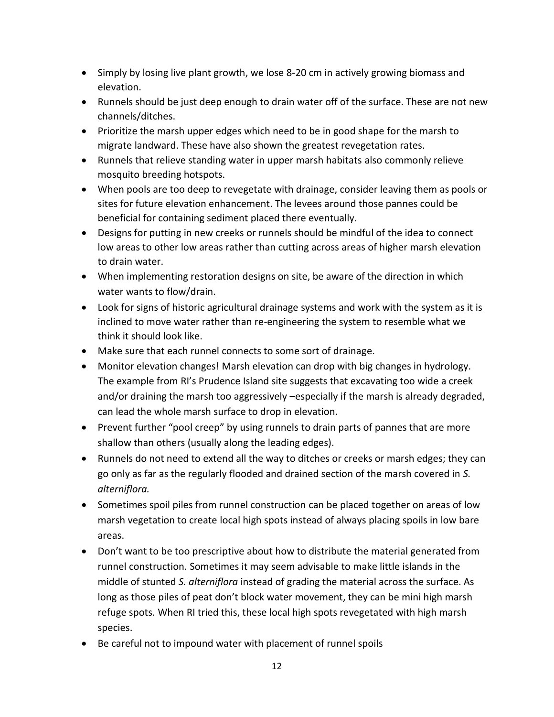- Simply by losing live plant growth, we lose 8-20 cm in actively growing biomass and elevation.
- Runnels should be just deep enough to drain water off of the surface. These are not new channels/ditches.
- Prioritize the marsh upper edges which need to be in good shape for the marsh to migrate landward. These have also shown the greatest revegetation rates.
- Runnels that relieve standing water in upper marsh habitats also commonly relieve mosquito breeding hotspots.
- When pools are too deep to revegetate with drainage, consider leaving them as pools or sites for future elevation enhancement. The levees around those pannes could be beneficial for containing sediment placed there eventually.
- Designs for putting in new creeks or runnels should be mindful of the idea to connect low areas to other low areas rather than cutting across areas of higher marsh elevation to drain water.
- When implementing restoration designs on site, be aware of the direction in which water wants to flow/drain.
- Look for signs of historic agricultural drainage systems and work with the system as it is inclined to move water rather than re-engineering the system to resemble what we think it should look like.
- Make sure that each runnel connects to some sort of drainage.
- Monitor elevation changes! Marsh elevation can drop with big changes in hydrology. The example from RI's Prudence Island site suggests that excavating too wide a creek and/or draining the marsh too aggressively –especially if the marsh is already degraded, can lead the whole marsh surface to drop in elevation.
- Prevent further "pool creep" by using runnels to drain parts of pannes that are more shallow than others (usually along the leading edges).
- Runnels do not need to extend all the way to ditches or creeks or marsh edges; they can go only as far as the regularly flooded and drained section of the marsh covered in *S. alterniflora.*
- Sometimes spoil piles from runnel construction can be placed together on areas of low marsh vegetation to create local high spots instead of always placing spoils in low bare areas.
- Don't want to be too prescriptive about how to distribute the material generated from runnel construction. Sometimes it may seem advisable to make little islands in the middle of stunted *S. alterniflora* instead of grading the material across the surface. As long as those piles of peat don't block water movement, they can be mini high marsh refuge spots. When RI tried this, these local high spots revegetated with high marsh species.
- Be careful not to impound water with placement of runnel spoils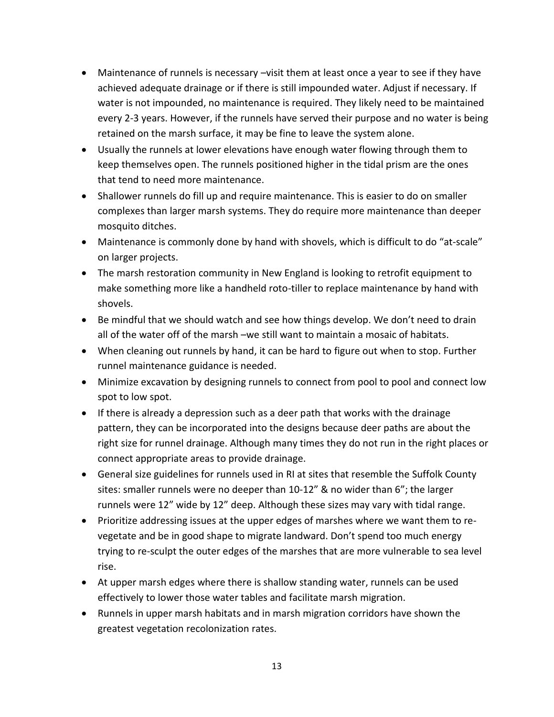- Maintenance of runnels is necessary –visit them at least once a year to see if they have achieved adequate drainage or if there is still impounded water. Adjust if necessary. If water is not impounded, no maintenance is required. They likely need to be maintained every 2-3 years. However, if the runnels have served their purpose and no water is being retained on the marsh surface, it may be fine to leave the system alone.
- Usually the runnels at lower elevations have enough water flowing through them to keep themselves open. The runnels positioned higher in the tidal prism are the ones that tend to need more maintenance.
- Shallower runnels do fill up and require maintenance. This is easier to do on smaller complexes than larger marsh systems. They do require more maintenance than deeper mosquito ditches.
- Maintenance is commonly done by hand with shovels, which is difficult to do "at-scale" on larger projects.
- The marsh restoration community in New England is looking to retrofit equipment to make something more like a handheld roto-tiller to replace maintenance by hand with shovels.
- Be mindful that we should watch and see how things develop. We don't need to drain all of the water off of the marsh –we still want to maintain a mosaic of habitats.
- When cleaning out runnels by hand, it can be hard to figure out when to stop. Further runnel maintenance guidance is needed.
- Minimize excavation by designing runnels to connect from pool to pool and connect low spot to low spot.
- If there is already a depression such as a deer path that works with the drainage pattern, they can be incorporated into the designs because deer paths are about the right size for runnel drainage. Although many times they do not run in the right places or connect appropriate areas to provide drainage.
- General size guidelines for runnels used in RI at sites that resemble the Suffolk County sites: smaller runnels were no deeper than 10-12" & no wider than 6"; the larger runnels were 12" wide by 12" deep. Although these sizes may vary with tidal range.
- Prioritize addressing issues at the upper edges of marshes where we want them to revegetate and be in good shape to migrate landward. Don't spend too much energy trying to re-sculpt the outer edges of the marshes that are more vulnerable to sea level rise.
- At upper marsh edges where there is shallow standing water, runnels can be used effectively to lower those water tables and facilitate marsh migration.
- Runnels in upper marsh habitats and in marsh migration corridors have shown the greatest vegetation recolonization rates.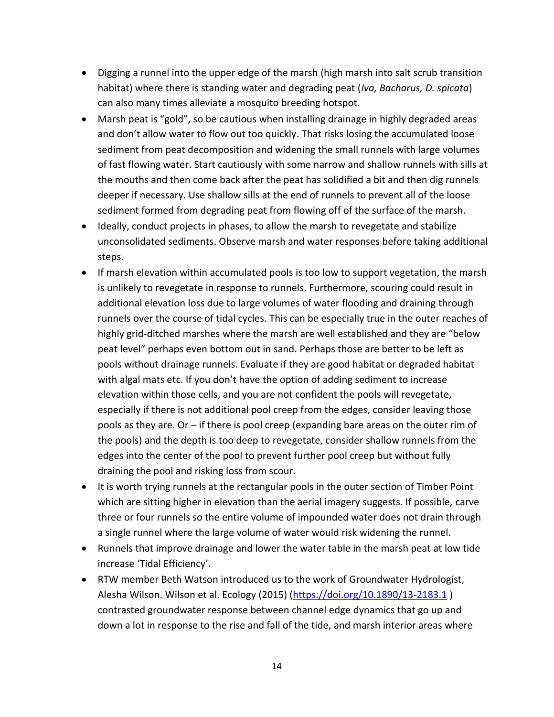- Digging a runnel into the upper edge of the marsh (high marsh into salt scrub transition habitat) where there is standing water and degrading peat (*Iva, Bacharus, D. spicata*) can also many times alleviate a mosquito breeding hotspot.
- Marsh peat is "gold", so be cautious when installing drainage in highly degraded areas and don't allow water to flow out too quickly. That risks losing the accumulated loose sediment from peat decomposition and widening the small runnels with large volumes of fast flowing water. Start cautiously with some narrow and shallow runnels with sills at the mouths and then come back after the peat has solidified a bit and then dig runnels deeper if necessary. Use shallow sills at the end of runnels to prevent all of the loose sediment formed from degrading peat from flowing off of the surface of the marsh.
- Ideally, conduct projects in phases, to allow the marsh to revegetate and stabilize unconsolidated sediments. Observe marsh and water responses before taking additional steps.
- If marsh elevation within accumulated pools is too low to support vegetation, the marsh is unlikely to revegetate in response to runnels. Furthermore, scouring could result in additional elevation loss due to large volumes of water flooding and draining through runnels over the course of tidal cycles. This can be especially true in the outer reaches of highly grid-ditched marshes where the marsh are well established and they are "below peat level" perhaps even bottom out in sand. Perhaps those are better to be left as pools without drainage runnels. Evaluate if they are good habitat or degraded habitat with algal mats etc. If you don't have the option of adding sediment to increase elevation within those cells, and you are not confident the pools will revegetate, especially if there is not additional pool creep from the edges, consider leaving those pools as they are. Or – if there is pool creep (expanding bare areas on the outer rim of the pools) and the depth is too deep to revegetate, consider shallow runnels from the edges into the center of the pool to prevent further pool creep but without fully draining the pool and risking loss from scour.
- It is worth trying runnels at the rectangular pools in the outer section of Timber Point which are sitting higher in elevation than the aerial imagery suggests. If possible, carve three or four runnels so the entire volume of impounded water does not drain through a single runnel where the large volume of water would risk widening the runnel.
- Runnels that improve drainage and lower the water table in the marsh peat at low tide increase 'Tidal Efficiency'.
- RTW member Beth Watson introduced us to the work of Groundwater Hydrologist, Alesha Wilson. Wilson et al. Ecology (2015) [\(https://doi.org/10.1890/13-2183.1](https://doi.org/10.1890/13-2183.1)) contrasted groundwater response between channel edge dynamics that go up and down a lot in response to the rise and fall of the tide, and marsh interior areas where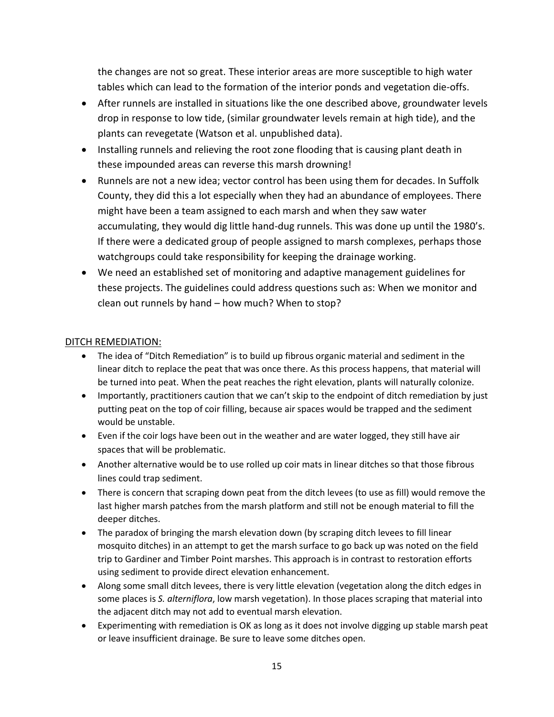the changes are not so great. These interior areas are more susceptible to high water tables which can lead to the formation of the interior ponds and vegetation die-offs.

- After runnels are installed in situations like the one described above, groundwater levels drop in response to low tide, (similar groundwater levels remain at high tide), and the plants can revegetate (Watson et al. unpublished data).
- Installing runnels and relieving the root zone flooding that is causing plant death in these impounded areas can reverse this marsh drowning!
- Runnels are not a new idea; vector control has been using them for decades. In Suffolk County, they did this a lot especially when they had an abundance of employees. There might have been a team assigned to each marsh and when they saw water accumulating, they would dig little hand-dug runnels. This was done up until the 1980's. If there were a dedicated group of people assigned to marsh complexes, perhaps those watchgroups could take responsibility for keeping the drainage working.
- We need an established set of monitoring and adaptive management guidelines for these projects. The guidelines could address questions such as: When we monitor and clean out runnels by hand – how much? When to stop?

#### DITCH REMEDIATION:

- The idea of "Ditch Remediation" is to build up fibrous organic material and sediment in the linear ditch to replace the peat that was once there. As this process happens, that material will be turned into peat. When the peat reaches the right elevation, plants will naturally colonize.
- Importantly, practitioners caution that we can't skip to the endpoint of ditch remediation by just putting peat on the top of coir filling, because air spaces would be trapped and the sediment would be unstable.
- Even if the coir logs have been out in the weather and are water logged, they still have air spaces that will be problematic.
- Another alternative would be to use rolled up coir mats in linear ditches so that those fibrous lines could trap sediment.
- There is concern that scraping down peat from the ditch levees (to use as fill) would remove the last higher marsh patches from the marsh platform and still not be enough material to fill the deeper ditches.
- The paradox of bringing the marsh elevation down (by scraping ditch levees to fill linear mosquito ditches) in an attempt to get the marsh surface to go back up was noted on the field trip to Gardiner and Timber Point marshes. This approach is in contrast to restoration efforts using sediment to provide direct elevation enhancement.
- Along some small ditch levees, there is very little elevation (vegetation along the ditch edges in some places is *S. alterniflora*, low marsh vegetation). In those places scraping that material into the adjacent ditch may not add to eventual marsh elevation.
- Experimenting with remediation is OK as long as it does not involve digging up stable marsh peat or leave insufficient drainage. Be sure to leave some ditches open.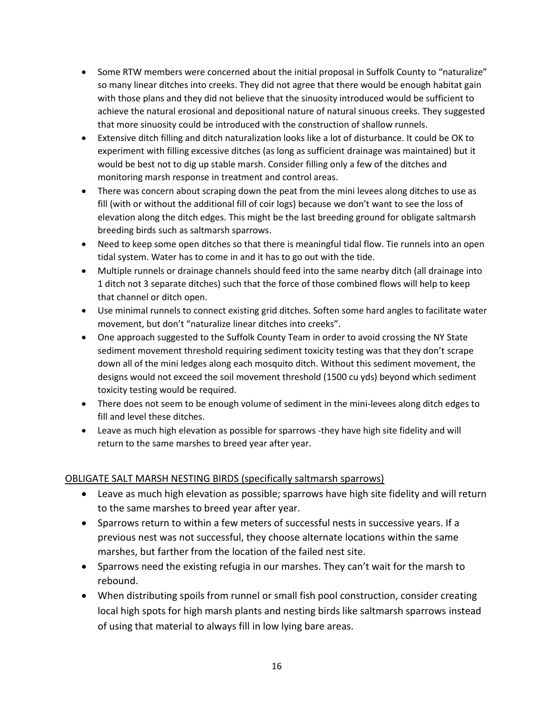- Some RTW members were concerned about the initial proposal in Suffolk County to "naturalize" so many linear ditches into creeks. They did not agree that there would be enough habitat gain with those plans and they did not believe that the sinuosity introduced would be sufficient to achieve the natural erosional and depositional nature of natural sinuous creeks. They suggested that more sinuosity could be introduced with the construction of shallow runnels.
- Extensive ditch filling and ditch naturalization looks like a lot of disturbance. It could be OK to experiment with filling excessive ditches (as long as sufficient drainage was maintained) but it would be best not to dig up stable marsh. Consider filling only a few of the ditches and monitoring marsh response in treatment and control areas.
- There was concern about scraping down the peat from the mini levees along ditches to use as fill (with or without the additional fill of coir logs) because we don't want to see the loss of elevation along the ditch edges. This might be the last breeding ground for obligate saltmarsh breeding birds such as saltmarsh sparrows.
- Need to keep some open ditches so that there is meaningful tidal flow. Tie runnels into an open tidal system. Water has to come in and it has to go out with the tide.
- Multiple runnels or drainage channels should feed into the same nearby ditch (all drainage into 1 ditch not 3 separate ditches) such that the force of those combined flows will help to keep that channel or ditch open.
- Use minimal runnels to connect existing grid ditches. Soften some hard angles to facilitate water movement, but don't "naturalize linear ditches into creeks".
- One approach suggested to the Suffolk County Team in order to avoid crossing the NY State sediment movement threshold requiring sediment toxicity testing was that they don't scrape down all of the mini ledges along each mosquito ditch. Without this sediment movement, the designs would not exceed the soil movement threshold (1500 cu yds) beyond which sediment toxicity testing would be required.
- There does not seem to be enough volume of sediment in the mini-levees along ditch edges to fill and level these ditches.
- Leave as much high elevation as possible for sparrows -they have high site fidelity and will return to the same marshes to breed year after year.

# OBLIGATE SALT MARSH NESTING BIRDS (specifically saltmarsh sparrows)

- Leave as much high elevation as possible; sparrows have high site fidelity and will return to the same marshes to breed year after year.
- Sparrows return to within a few meters of successful nests in successive years. If a previous nest was not successful, they choose alternate locations within the same marshes, but farther from the location of the failed nest site.
- Sparrows need the existing refugia in our marshes. They can't wait for the marsh to rebound.
- When distributing spoils from runnel or small fish pool construction, consider creating local high spots for high marsh plants and nesting birds like saltmarsh sparrows instead of using that material to always fill in low lying bare areas.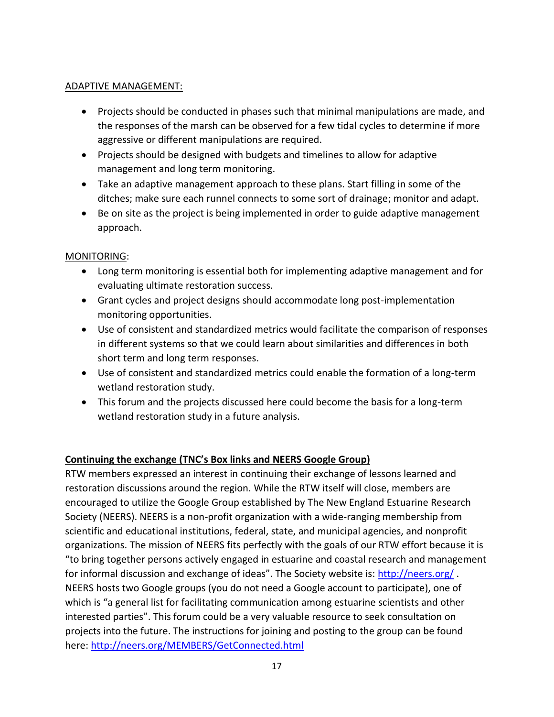# ADAPTIVE MANAGEMENT:

- Projects should be conducted in phases such that minimal manipulations are made, and the responses of the marsh can be observed for a few tidal cycles to determine if more aggressive or different manipulations are required.
- Projects should be designed with budgets and timelines to allow for adaptive management and long term monitoring.
- Take an adaptive management approach to these plans. Start filling in some of the ditches; make sure each runnel connects to some sort of drainage; monitor and adapt.
- Be on site as the project is being implemented in order to guide adaptive management approach.

# MONITORING:

- Long term monitoring is essential both for implementing adaptive management and for evaluating ultimate restoration success.
- Grant cycles and project designs should accommodate long post-implementation monitoring opportunities.
- Use of consistent and standardized metrics would facilitate the comparison of responses in different systems so that we could learn about similarities and differences in both short term and long term responses.
- Use of consistent and standardized metrics could enable the formation of a long-term wetland restoration study.
- This forum and the projects discussed here could become the basis for a long-term wetland restoration study in a future analysis.

# **Continuing the exchange (TNC's Box links and NEERS Google Group)**

RTW members expressed an interest in continuing their exchange of lessons learned and restoration discussions around the region. While the RTW itself will close, members are encouraged to utilize the Google Group established by The New England Estuarine Research Society (NEERS). NEERS is a non-profit organization with a wide-ranging membership from scientific and educational institutions, federal, state, and municipal agencies, and nonprofit organizations. The mission of NEERS fits perfectly with the goals of our RTW effort because it is "to bring together persons actively engaged in estuarine and coastal research and management for informal discussion and exchange of ideas". The Society website is: <http://neers.org/>. NEERS hosts two Google groups (you do not need a Google account to participate), one of which is "a general list for facilitating communication among estuarine scientists and other interested parties". This forum could be a very valuable resource to seek consultation on projects into the future. The instructions for joining and posting to the group can be found here:<http://neers.org/MEMBERS/GetConnected.html>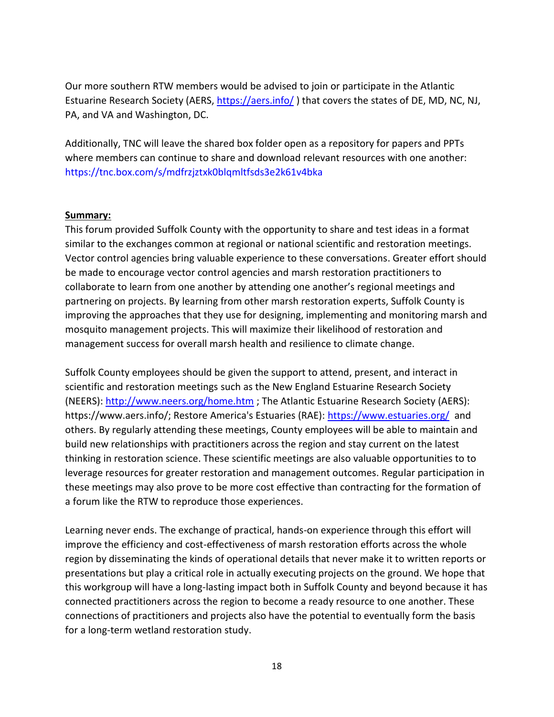Our more southern RTW members would be advised to join or participate in the Atlantic Estuarine Research Society (AERS,<https://aers.info/> ) that covers the states of DE, MD, NC, NJ, PA, and VA and Washington, DC.

Additionally, TNC will leave the shared box folder open as a repository for papers and PPTs where members can continue to share and download relevant resources with one another: <https://tnc.box.com/s/mdfrzjztxk0blqmltfsds3e2k61v4bka>

#### **Summary:**

This forum provided Suffolk County with the opportunity to share and test ideas in a format similar to the exchanges common at regional or national scientific and restoration meetings. Vector control agencies bring valuable experience to these conversations. Greater effort should be made to encourage vector control agencies and marsh restoration practitioners to collaborate to learn from one another by attending one another's regional meetings and partnering on projects. By learning from other marsh restoration experts, Suffolk County is improving the approaches that they use for designing, implementing and monitoring marsh and mosquito management projects. This will maximize their likelihood of restoration and management success for overall marsh health and resilience to climate change.

Suffolk County employees should be given the support to attend, present, and interact in scientific and restoration meetings such as the New England Estuarine Research Society (NEERS):<http://www.neers.org/home.htm> ; The Atlantic Estuarine Research Society (AERS): https://www.aers.info/; Restore America's Estuaries (RAE):<https://www.estuaries.org/> and others. By regularly attending these meetings, County employees will be able to maintain and build new relationships with practitioners across the region and stay current on the latest thinking in restoration science. These scientific meetings are also valuable opportunities to to leverage resources for greater restoration and management outcomes. Regular participation in these meetings may also prove to be more cost effective than contracting for the formation of a forum like the RTW to reproduce those experiences.

Learning never ends. The exchange of practical, hands-on experience through this effort will improve the efficiency and cost-effectiveness of marsh restoration efforts across the whole region by disseminating the kinds of operational details that never make it to written reports or presentations but play a critical role in actually executing projects on the ground. We hope that this workgroup will have a long-lasting impact both in Suffolk County and beyond because it has connected practitioners across the region to become a ready resource to one another. These connections of practitioners and projects also have the potential to eventually form the basis for a long-term wetland restoration study.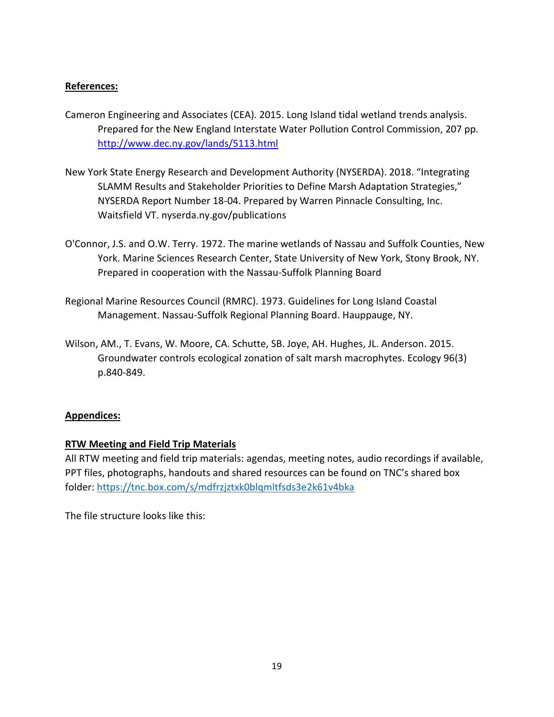# **References:**

- Cameron Engineering and Associates (CEA). 2015. Long Island tidal wetland trends analysis. Prepared for the New England Interstate Water Pollution Control Commission, 207 pp. <http://www.dec.ny.gov/lands/5113.html>
- New York State Energy Research and Development Authority (NYSERDA). 2018. "Integrating SLAMM Results and Stakeholder Priorities to Define Marsh Adaptation Strategies," NYSERDA Report Number 18-04. Prepared by Warren Pinnacle Consulting, Inc. Waitsfield VT. nyserda.ny.gov/publications
- O'Connor, J.S. and O.W. Terry. 1972. The marine wetlands of Nassau and Suffolk Counties, New York. Marine Sciences Research Center, State University of New York, Stony Brook, NY. Prepared in cooperation with the Nassau-Suffolk Planning Board
- Regional Marine Resources Council (RMRC). 1973. Guidelines for Long Island Coastal Management. Nassau-Suffolk Regional Planning Board. Hauppauge, NY.
- Wilson, AM., T. Evans, W. Moore, CA. Schutte, SB. Joye, AH. Hughes, JL. Anderson. 2015. Groundwater controls ecological zonation of salt marsh macrophytes. Ecology 96(3) p.840-849.

# **Appendices:**

# **RTW Meeting and Field Trip Materials**

All RTW meeting and field trip materials: agendas, meeting notes, audio recordings if available, PPT files, photographs, handouts and shared resources can be found on TNC's shared box folder:<https://tnc.box.com/s/mdfrzjztxk0blqmltfsds3e2k61v4bka>

The file structure looks like this: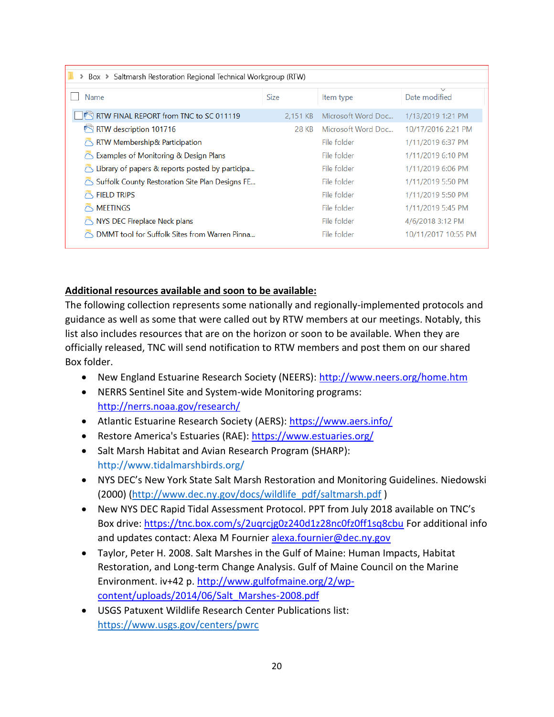| > Box > Saltmarsh Restoration Regional Technical Workgroup (RTW)    |             |                    |                     |  |  |
|---------------------------------------------------------------------|-------------|--------------------|---------------------|--|--|
|                                                                     |             |                    |                     |  |  |
| Name                                                                | <b>Size</b> | Item type          | Date modified       |  |  |
| RTW FINAL REPORT from TNC to SC 011119                              | 2.151 KB    | Microsoft Word Doc | 1/13/2019 1:21 PM   |  |  |
| RTW description 101716                                              | 28 KB       | Microsoft Word Doc | 10/17/2016 2:21 PM  |  |  |
| RTW Membership& Participation                                       |             | File folder        | 1/11/2019 6:37 PM   |  |  |
| Examples of Monitoring & Design Plans                               |             | File folder        | 1/11/2019 6:10 PM   |  |  |
| Library of papers & reports posted by participa                     |             | File folder        | 1/11/2019 6:06 PM   |  |  |
| $\circlearrowright$ Suffolk County Restoration Site Plan Designs FE |             | File folder        | 1/11/2019 5:50 PM   |  |  |
| <b>FIELD TRIPS</b>                                                  |             | File folder        | 1/11/2019 5:50 PM   |  |  |
| <b>MEETINGS</b>                                                     |             | File folder        | 1/11/2019 5:45 PM   |  |  |
| NYS DEC Fireplace Neck plans                                        |             | File folder        | 4/6/2018 3:12 PM    |  |  |
| DMMT tool for Suffolk Sites from Warren Pinna                       |             | File folder        | 10/11/2017 10:55 PM |  |  |

#### **Additional resources available and soon to be available:**

The following collection represents some nationally and regionally-implemented protocols and guidance as well as some that were called out by RTW members at our meetings. Notably, this list also includes resources that are on the horizon or soon to be available. When they are officially released, TNC will send notification to RTW members and post them on our shared Box folder.

- New England Estuarine Research Society (NEERS):<http://www.neers.org/home.htm>
- NERRS Sentinel Site and System-wide Monitoring programs: <http://nerrs.noaa.gov/research/>
- Atlantic Estuarine Research Society (AERS):<https://www.aers.info/>
- Restore America's Estuaries (RAE):<https://www.estuaries.org/>
- Salt Marsh Habitat and Avian Research Program (SHARP): <http://www.tidalmarshbirds.org/>
- NYS DEC's New York State Salt Marsh Restoration and Monitoring Guidelines. Niedowski (2000) [\(http://www.dec.ny.gov/docs/wildlife\\_pdf/saltmarsh.pdf](http://www.dec.ny.gov/docs/wildlife_pdf/saltmarsh.pdf) )
- New NYS DEC Rapid Tidal Assessment Protocol. PPT from July 2018 available on TNC's Box drive:<https://tnc.box.com/s/2uqrcjg0z240d1z28nc0fz0ff1sq8cbu> For additional info and updates contact: Alexa M Fournier [alexa.fournier@dec.ny.gov](mailto:alexa.fournier@dec.ny.gov)
- Taylor, Peter H. 2008. Salt Marshes in the Gulf of Maine: Human Impacts, Habitat Restoration, and Long-term Change Analysis. Gulf of Maine Council on the Marine Environment. iv+42 p. [http://www.gulfofmaine.org/2/wp](http://www.gulfofmaine.org/2/wp-content/uploads/2014/06/Salt_Marshes-2008.pdf)[content/uploads/2014/06/Salt\\_Marshes-2008.pdf](http://www.gulfofmaine.org/2/wp-content/uploads/2014/06/Salt_Marshes-2008.pdf)
- USGS Patuxent Wildlife Research Center Publications list: <https://www.usgs.gov/centers/pwrc>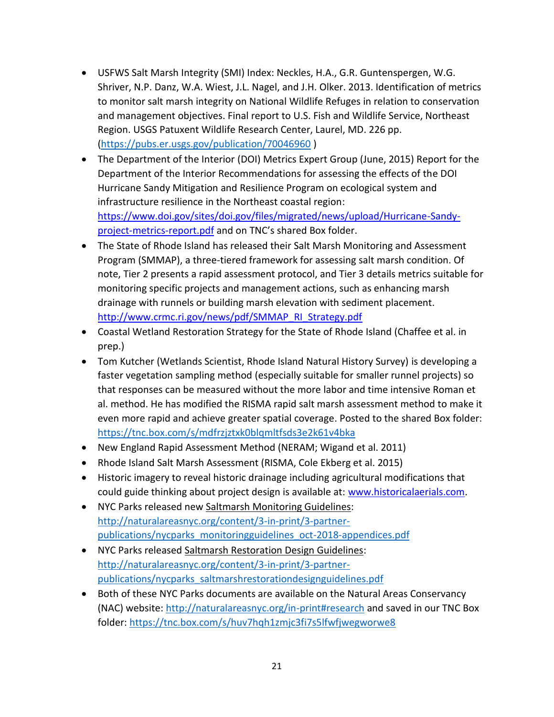- USFWS Salt Marsh Integrity (SMI) Index: Neckles, H.A., G.R. Guntenspergen, W.G. Shriver, N.P. Danz, W.A. Wiest, J.L. Nagel, and J.H. Olker. 2013. Identification of metrics to monitor salt marsh integrity on National Wildlife Refuges in relation to conservation and management objectives. Final report to U.S. Fish and Wildlife Service, Northeast Region. USGS Patuxent Wildlife Research Center, Laurel, MD. 226 pp. [\(https://pubs.er.usgs.gov/publication/70046960](https://pubs.er.usgs.gov/publication/70046960) )
- The Department of the Interior (DOI) Metrics Expert Group (June, 2015) Report for the Department of the Interior Recommendations for assessing the effects of the DOI Hurricane Sandy Mitigation and Resilience Program on ecological system and infrastructure resilience in the Northeast coastal region: [https://www.doi.gov/sites/doi.gov/files/migrated/news/upload/Hurricane-Sandy](https://www.doi.gov/sites/doi.gov/files/migrated/news/upload/Hurricane-Sandy-project-metrics-report.pdf)[project-metrics-report.pdf](https://www.doi.gov/sites/doi.gov/files/migrated/news/upload/Hurricane-Sandy-project-metrics-report.pdf) and on TNC's shared Box folder.
- The State of Rhode Island has released their Salt Marsh Monitoring and Assessment Program (SMMAP), a three-tiered framework for assessing salt marsh condition. Of note, Tier 2 presents a rapid assessment protocol, and Tier 3 details metrics suitable for monitoring specific projects and management actions, such as enhancing marsh drainage with runnels or building marsh elevation with sediment placement. [http://www.crmc.ri.gov/news/pdf/SMMAP\\_RI\\_Strategy.pdf](http://www.crmc.ri.gov/news/pdf/SMMAP_RI_Strategy.pdf)
- Coastal Wetland Restoration Strategy for the State of Rhode Island (Chaffee et al. in prep.)
- Tom Kutcher (Wetlands Scientist, Rhode Island Natural History Survey) is developing a faster vegetation sampling method (especially suitable for smaller runnel projects) so that responses can be measured without the more labor and time intensive Roman et al. method. He has modified the RISMA rapid salt marsh assessment method to make it even more rapid and achieve greater spatial coverage. Posted to the shared Box folder: <https://tnc.box.com/s/mdfrzjztxk0blqmltfsds3e2k61v4bka>
- New England Rapid Assessment Method (NERAM; Wigand et al. 2011)
- Rhode Island Salt Marsh Assessment (RISMA, Cole Ekberg et al. 2015)
- Historic imagery to reveal historic drainage including agricultural modifications that could guide thinking about project design is available at: [www.historicalaerials.com.](http://www.historicalaerials.com/)
- NYC Parks released new Saltmarsh Monitoring Guidelines: [http://naturalareasnyc.org/content/3-in-print/3-partner](http://naturalareasnyc.org/content/3-in-print/3-partner-publications/nycparks_monitoringguidelines_oct-2018-appendices.pdf)[publications/nycparks\\_monitoringguidelines\\_oct-2018-appendices.pdf](http://naturalareasnyc.org/content/3-in-print/3-partner-publications/nycparks_monitoringguidelines_oct-2018-appendices.pdf)
- NYC Parks released Saltmarsh Restoration Design Guidelines: [http://naturalareasnyc.org/content/3-in-print/3-partner](http://naturalareasnyc.org/content/3-in-print/3-partner-publications/nycparks_saltmarshrestorationdesignguidelines.pdf)[publications/nycparks\\_saltmarshrestorationdesignguidelines.pdf](http://naturalareasnyc.org/content/3-in-print/3-partner-publications/nycparks_saltmarshrestorationdesignguidelines.pdf)
- Both of these NYC Parks documents are available on the Natural Areas Conservancy (NAC) website:<http://naturalareasnyc.org/in-print#research> and saved in our TNC Box folder:<https://tnc.box.com/s/huv7hqh1zmjc3fi7s5lfwfjwegworwe8>